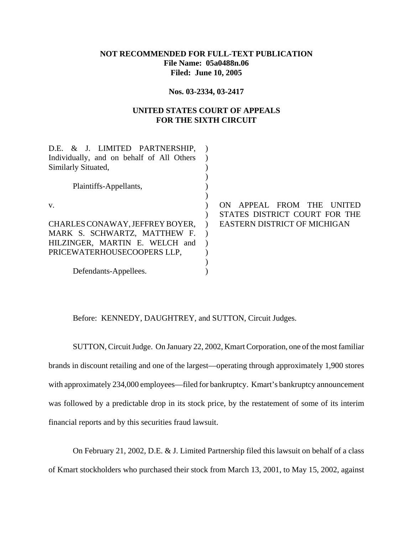## **NOT RECOMMENDED FOR FULL-TEXT PUBLICATION File Name: 05a0488n.06 Filed: June 10, 2005**

#### **Nos. 03-2334, 03-2417**

### **UNITED STATES COURT OF APPEALS FOR THE SIXTH CIRCUIT**

| D.E. & J. LIMITED PARTNERSHIP,            |                                     |
|-------------------------------------------|-------------------------------------|
| Individually, and on behalf of All Others |                                     |
| Similarly Situated,                       |                                     |
|                                           |                                     |
| Plaintiffs-Appellants,                    |                                     |
|                                           |                                     |
| V.                                        | APPEAL FROM THE<br>ON<br>UNITED     |
|                                           | STATES DISTRICT COURT FOR THE       |
| CHARLES CONAWAY, JEFFREY BOYER,           | <b>EASTERN DISTRICT OF MICHIGAN</b> |
| MARK S. SCHWARTZ, MATTHEW F.              |                                     |
| HILZINGER, MARTIN E. WELCH and            |                                     |
| PRICEWATERHOUSECOOPERS LLP,               |                                     |
|                                           |                                     |
| Defendants-Appellees.                     |                                     |

Before: KENNEDY, DAUGHTREY, and SUTTON, Circuit Judges.

SUTTON, Circuit Judge. On January 22, 2002, Kmart Corporation, one of the most familiar brands in discount retailing and one of the largest—operating through approximately 1,900 stores with approximately 234,000 employees—filed for bankruptcy. Kmart's bankruptcy announcement was followed by a predictable drop in its stock price, by the restatement of some of its interim financial reports and by this securities fraud lawsuit.

On February 21, 2002, D.E. & J. Limited Partnership filed this lawsuit on behalf of a class of Kmart stockholders who purchased their stock from March 13, 2001, to May 15, 2002, against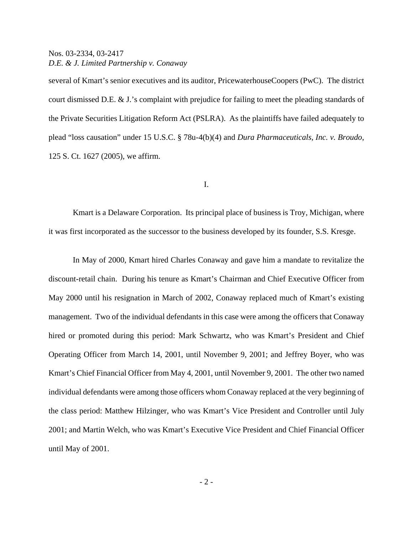several of Kmart's senior executives and its auditor, PricewaterhouseCoopers (PwC). The district court dismissed D.E. & J.'s complaint with prejudice for failing to meet the pleading standards of the Private Securities Litigation Reform Act (PSLRA). As the plaintiffs have failed adequately to plead "loss causation" under 15 U.S.C. § 78u-4(b)(4) and *Dura Pharmaceuticals, Inc. v. Broudo*, 125 S. Ct. 1627 (2005), we affirm.

#### I.

Kmart is a Delaware Corporation. Its principal place of business is Troy, Michigan, where it was first incorporated as the successor to the business developed by its founder, S.S. Kresge.

In May of 2000, Kmart hired Charles Conaway and gave him a mandate to revitalize the discount-retail chain. During his tenure as Kmart's Chairman and Chief Executive Officer from May 2000 until his resignation in March of 2002, Conaway replaced much of Kmart's existing management. Two of the individual defendants in this case were among the officers that Conaway hired or promoted during this period: Mark Schwartz, who was Kmart's President and Chief Operating Officer from March 14, 2001, until November 9, 2001; and Jeffrey Boyer, who was Kmart's Chief Financial Officer from May 4, 2001, until November 9, 2001. The other two named individual defendants were among those officers whom Conaway replaced at the very beginning of the class period: Matthew Hilzinger, who was Kmart's Vice President and Controller until July 2001; and Martin Welch, who was Kmart's Executive Vice President and Chief Financial Officer until May of 2001.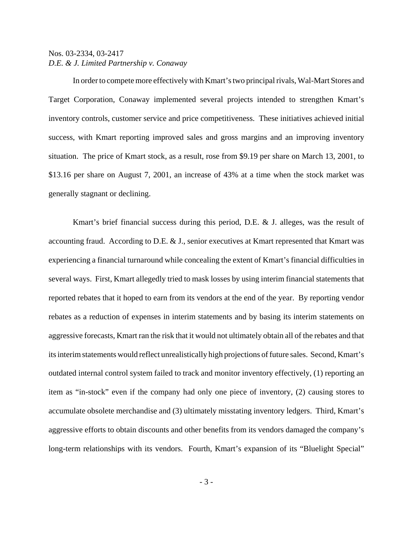In order to compete more effectively with Kmart's two principal rivals, Wal-Mart Stores and Target Corporation, Conaway implemented several projects intended to strengthen Kmart's inventory controls, customer service and price competitiveness. These initiatives achieved initial success, with Kmart reporting improved sales and gross margins and an improving inventory situation. The price of Kmart stock, as a result, rose from \$9.19 per share on March 13, 2001, to \$13.16 per share on August 7, 2001, an increase of 43% at a time when the stock market was generally stagnant or declining.

Kmart's brief financial success during this period, D.E. & J. alleges, was the result of accounting fraud. According to D.E. & J., senior executives at Kmart represented that Kmart was experiencing a financial turnaround while concealing the extent of Kmart's financial difficulties in several ways. First, Kmart allegedly tried to mask losses by using interim financial statements that reported rebates that it hoped to earn from its vendors at the end of the year. By reporting vendor rebates as a reduction of expenses in interim statements and by basing its interim statements on aggressive forecasts, Kmart ran the risk that it would not ultimately obtain all of the rebates and that its interim statements would reflect unrealistically high projections of future sales. Second, Kmart's outdated internal control system failed to track and monitor inventory effectively, (1) reporting an item as "in-stock" even if the company had only one piece of inventory, (2) causing stores to accumulate obsolete merchandise and (3) ultimately misstating inventory ledgers. Third, Kmart's aggressive efforts to obtain discounts and other benefits from its vendors damaged the company's long-term relationships with its vendors. Fourth, Kmart's expansion of its "Bluelight Special"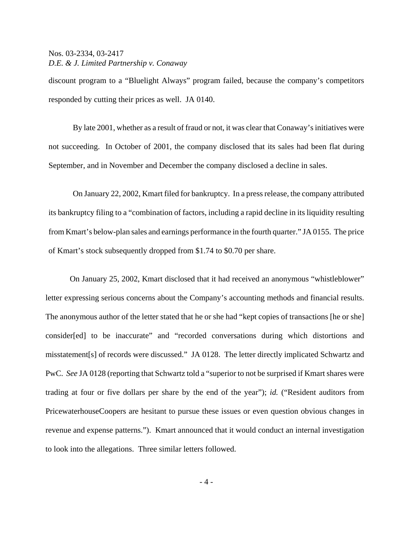discount program to a "Bluelight Always" program failed, because the company's competitors responded by cutting their prices as well. JA 0140.

By late 2001, whether as a result of fraud or not, it was clear that Conaway's initiatives were not succeeding. In October of 2001, the company disclosed that its sales had been flat during September, and in November and December the company disclosed a decline in sales.

On January 22, 2002, Kmart filed for bankruptcy. In a press release, the company attributed its bankruptcy filing to a "combination of factors, including a rapid decline in its liquidity resulting from Kmart's below-plan sales and earnings performance in the fourth quarter." JA 0155. The price of Kmart's stock subsequently dropped from \$1.74 to \$0.70 per share.

On January 25, 2002, Kmart disclosed that it had received an anonymous "whistleblower" letter expressing serious concerns about the Company's accounting methods and financial results. The anonymous author of the letter stated that he or she had "kept copies of transactions [he or she] consider[ed] to be inaccurate" and "recorded conversations during which distortions and misstatement[s] of records were discussed." JA 0128. The letter directly implicated Schwartz and PwC. *See* JA 0128 (reporting that Schwartz told a "superior to not be surprised if Kmart shares were trading at four or five dollars per share by the end of the year"); *id.* ("Resident auditors from PricewaterhouseCoopers are hesitant to pursue these issues or even question obvious changes in revenue and expense patterns."). Kmart announced that it would conduct an internal investigation to look into the allegations. Three similar letters followed.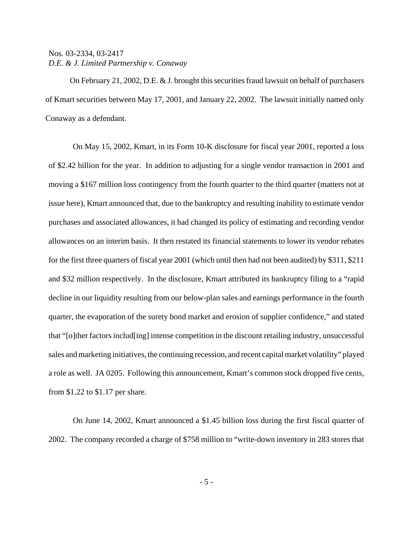On February 21, 2002, D.E. & J. brought this securities fraud lawsuit on behalf of purchasers of Kmart securities between May 17, 2001, and January 22, 2002. The lawsuit initially named only Conaway as a defendant.

On May 15, 2002, Kmart, in its Form 10-K disclosure for fiscal year 2001, reported a loss of \$2.42 billion for the year. In addition to adjusting for a single vendor transaction in 2001 and moving a \$167 million loss contingency from the fourth quarter to the third quarter (matters not at issue here), Kmart announced that, due to the bankruptcy and resulting inability to estimate vendor purchases and associated allowances, it had changed its policy of estimating and recording vendor allowances on an interim basis. It then restated its financial statements to lower its vendor rebates for the first three quarters of fiscal year 2001 (which until then had not been audited) by \$311, \$211 and \$32 million respectively. In the disclosure, Kmart attributed its bankruptcy filing to a "rapid decline in our liquidity resulting from our below-plan sales and earnings performance in the fourth quarter, the evaporation of the surety bond market and erosion of supplier confidence," and stated that "[o]ther factors includ[ing] intense competition in the discount retailing industry, unsuccessful sales and marketing initiatives, the continuing recession, and recent capital market volatility" played a role as well. JA 0205. Following this announcement, Kmart's common stock dropped five cents, from \$1.22 to \$1.17 per share.

On June 14, 2002, Kmart announced a \$1.45 billion loss during the first fiscal quarter of 2002. The company recorded a charge of \$758 million to "write-down inventory in 283 stores that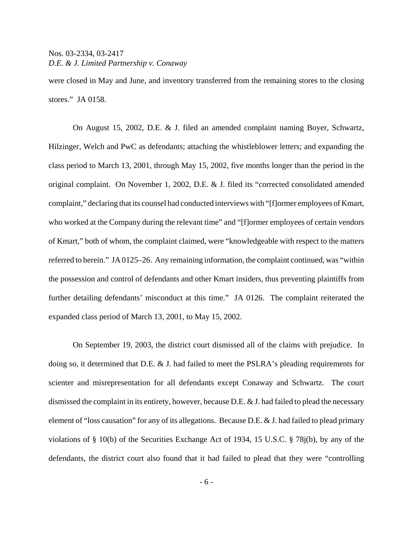were closed in May and June, and inventory transferred from the remaining stores to the closing stores." JA 0158.

On August 15, 2002, D.E. & J. filed an amended complaint naming Boyer, Schwartz, Hilzinger, Welch and PwC as defendants; attaching the whistleblower letters; and expanding the class period to March 13, 2001, through May 15, 2002, five months longer than the period in the original complaint. On November 1, 2002, D.E. & J. filed its "corrected consolidated amended complaint," declaring that its counsel had conducted interviews with "[f]ormer employees of Kmart, who worked at the Company during the relevant time" and "[f]ormer employees of certain vendors of Kmart," both of whom, the complaint claimed, were "knowledgeable with respect to the matters referred to herein." JA 0125–26. Any remaining information, the complaint continued, was "within the possession and control of defendants and other Kmart insiders, thus preventing plaintiffs from further detailing defendants' misconduct at this time." JA 0126. The complaint reiterated the expanded class period of March 13, 2001, to May 15, 2002.

On September 19, 2003, the district court dismissed all of the claims with prejudice. In doing so, it determined that D.E. & J. had failed to meet the PSLRA's pleading requirements for scienter and misrepresentation for all defendants except Conaway and Schwartz. The court dismissed the complaint in its entirety, however, because D.E. & J. had failed to plead the necessary element of "loss causation" for any of its allegations. Because D.E. & J. had failed to plead primary violations of § 10(b) of the Securities Exchange Act of 1934, 15 U.S.C. § 78j(b), by any of the defendants, the district court also found that it had failed to plead that they were "controlling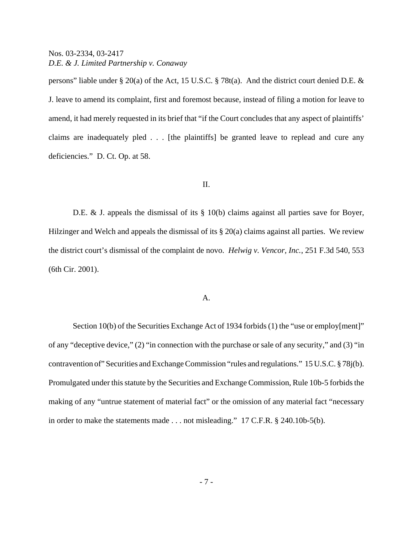persons" liable under § 20(a) of the Act, 15 U.S.C. § 78t(a). And the district court denied D.E. & J. leave to amend its complaint, first and foremost because, instead of filing a motion for leave to amend, it had merely requested in its brief that "if the Court concludes that any aspect of plaintiffs' claims are inadequately pled . . . [the plaintiffs] be granted leave to replead and cure any deficiencies." D. Ct. Op. at 58.

#### II.

D.E. & J. appeals the dismissal of its  $\S$  10(b) claims against all parties save for Boyer, Hilzinger and Welch and appeals the dismissal of its § 20(a) claims against all parties. We review the district court's dismissal of the complaint de novo. *Helwig v. Vencor, Inc.*, 251 F.3d 540, 553 (6th Cir. 2001).

#### A.

Section 10(b) of the Securities Exchange Act of 1934 forbids (1) the "use or employ[ment]" of any "deceptive device," (2) "in connection with the purchase or sale of any security," and (3) "in contravention of" Securities and Exchange Commission "rules and regulations." 15 U.S.C. § 78j(b). Promulgated under this statute by the Securities and Exchange Commission, Rule 10b-5 forbids the making of any "untrue statement of material fact" or the omission of any material fact "necessary in order to make the statements made . . . not misleading." 17 C.F.R. § 240.10b-5(b).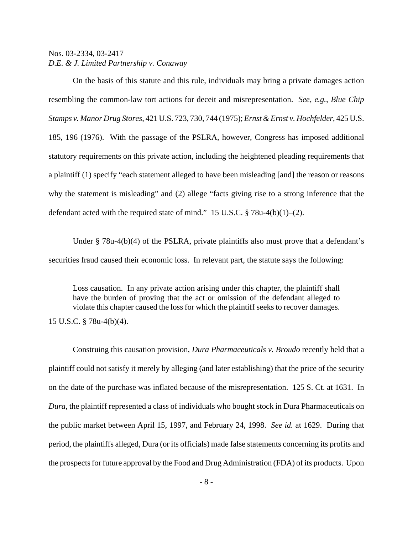On the basis of this statute and this rule, individuals may bring a private damages action resembling the common-law tort actions for deceit and misrepresentation. *See, e.g.*, *Blue Chip Stamps v. Manor Drug Stores*, 421 U.S. 723, 730, 744 (1975); *Ernst & Ernst v. Hochfelder*, 425 U.S. 185, 196 (1976). With the passage of the PSLRA, however, Congress has imposed additional statutory requirements on this private action, including the heightened pleading requirements that a plaintiff (1) specify "each statement alleged to have been misleading [and] the reason or reasons why the statement is misleading" and (2) allege "facts giving rise to a strong inference that the defendant acted with the required state of mind." 15 U.S.C.  $\S$  78u-4(b)(1)–(2).

Under § 78u-4(b)(4) of the PSLRA, private plaintiffs also must prove that a defendant's securities fraud caused their economic loss. In relevant part, the statute says the following:

Loss causation. In any private action arising under this chapter, the plaintiff shall have the burden of proving that the act or omission of the defendant alleged to violate this chapter caused the loss for which the plaintiff seeks to recover damages. 15 U.S.C. § 78u-4(b)(4).

Construing this causation provision, *Dura Pharmaceuticals v. Broudo* recently held that a plaintiff could not satisfy it merely by alleging (and later establishing) that the price of the security on the date of the purchase was inflated because of the misrepresentation.125 S. Ct. at 1631. In *Dura*, the plaintiff represented a class of individuals who bought stock in Dura Pharmaceuticals on the public market between April 15, 1997, and February 24, 1998. *See id.* at 1629. During that period, the plaintiffs alleged, Dura (or its officials) made false statements concerning its profits and the prospects for future approval by the Food and Drug Administration (FDA) of its products. Upon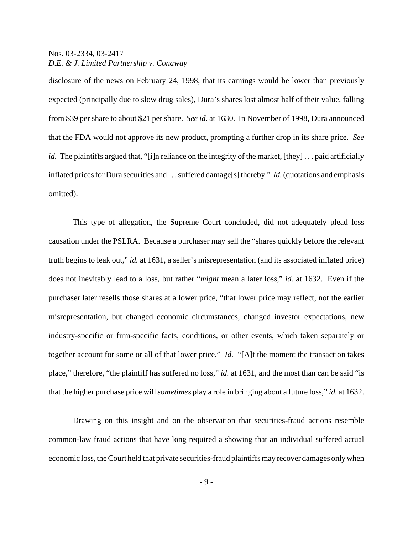disclosure of the news on February 24, 1998, that its earnings would be lower than previously expected (principally due to slow drug sales), Dura's shares lost almost half of their value, falling from \$39 per share to about \$21 per share. *See id.* at 1630. In November of 1998, Dura announced that the FDA would not approve its new product, prompting a further drop in its share price. *See id.* The plaintiffs argued that, "[i]n reliance on the integrity of the market, [they] . . . paid artificially inflated prices for Dura securities and . . . suffered damage[s] thereby." *Id.* (quotations and emphasis omitted).

This type of allegation, the Supreme Court concluded, did not adequately plead loss causation under the PSLRA. Because a purchaser may sell the "shares quickly before the relevant truth begins to leak out," *id.* at 1631, a seller's misrepresentation (and its associated inflated price) does not inevitably lead to a loss, but rather "*might* mean a later loss," *id.* at 1632. Even if the purchaser later resells those shares at a lower price, "that lower price may reflect, not the earlier misrepresentation, but changed economic circumstances, changed investor expectations, new industry-specific or firm-specific facts, conditions, or other events, which taken separately or together account for some or all of that lower price." *Id.* "[A]t the moment the transaction takes place," therefore, "the plaintiff has suffered no loss," *id.* at 1631, and the most than can be said "is that the higher purchase price will *sometimes* play a role in bringing about a future loss," *id.* at 1632.

Drawing on this insight and on the observation that securities-fraud actions resemble common-law fraud actions that have long required a showing that an individual suffered actual economic loss, the Court held that private securities-fraud plaintiffs may recover damages only when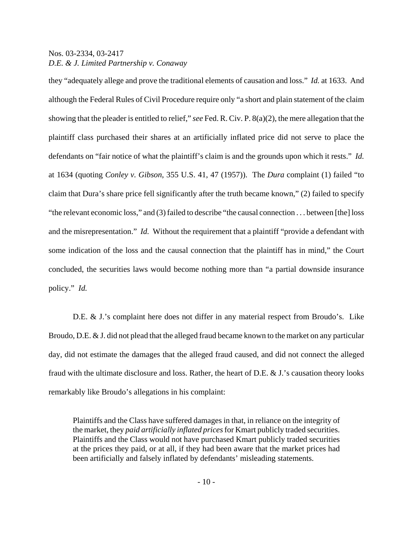they "adequately allege and prove the traditional elements of causation and loss." *Id.* at 1633. And although the Federal Rules of Civil Procedure require only "a short and plain statement of the claim showing that the pleader is entitled to relief," *see* Fed. R. Civ. P. 8(a)(2), the mere allegation that the plaintiff class purchased their shares at an artificially inflated price did not serve to place the defendants on "fair notice of what the plaintiff's claim is and the grounds upon which it rests." *Id.* at 1634 (quoting *Conley v. Gibson*, 355 U.S. 41, 47 (1957)). The *Dura* complaint (1) failed "to claim that Dura's share price fell significantly after the truth became known," (2) failed to specify "the relevant economic loss," and (3) failed to describe "the causal connection . . . between [the] loss and the misrepresentation." *Id.* Without the requirement that a plaintiff "provide a defendant with some indication of the loss and the causal connection that the plaintiff has in mind," the Court concluded, the securities laws would become nothing more than "a partial downside insurance policy." *Id.*

D.E. & J.'s complaint here does not differ in any material respect from Broudo's. Like Broudo, D.E. & J. did not plead that the alleged fraud became known to the market on any particular day, did not estimate the damages that the alleged fraud caused, and did not connect the alleged fraud with the ultimate disclosure and loss. Rather, the heart of D.E. & J.'s causation theory looks remarkably like Broudo's allegations in his complaint:

Plaintiffs and the Class have suffered damages in that, in reliance on the integrity of the market, they *paid artificially inflated prices* for Kmart publicly traded securities. Plaintiffs and the Class would not have purchased Kmart publicly traded securities at the prices they paid, or at all, if they had been aware that the market prices had been artificially and falsely inflated by defendants' misleading statements.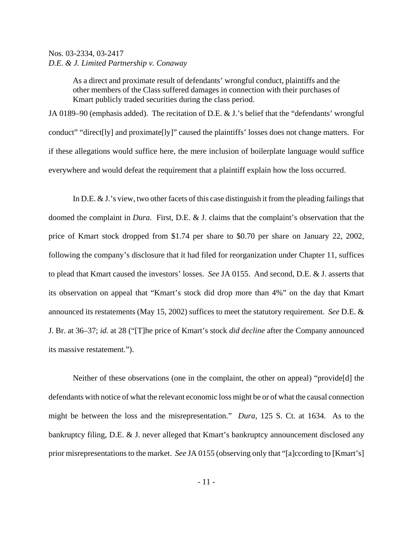As a direct and proximate result of defendants' wrongful conduct, plaintiffs and the other members of the Class suffered damages in connection with their purchases of Kmart publicly traded securities during the class period.

JA 0189–90 (emphasis added). The recitation of D.E. & J.'s belief that the "defendants' wrongful conduct" "direct[ly] and proximate[ly]" caused the plaintiffs' losses does not change matters. For if these allegations would suffice here, the mere inclusion of boilerplate language would suffice everywhere and would defeat the requirement that a plaintiff explain how the loss occurred.

In D.E. & J.'s view, two other facets of this case distinguish it from the pleading failings that doomed the complaint in *Dura*. First, D.E. & J. claims that the complaint's observation that the price of Kmart stock dropped from \$1.74 per share to \$0.70 per share on January 22, 2002, following the company's disclosure that it had filed for reorganization under Chapter 11, suffices to plead that Kmart caused the investors' losses. *See* JA 0155. And second, D.E. & J. asserts that its observation on appeal that "Kmart's stock did drop more than 4%" on the day that Kmart announced its restatements (May 15, 2002) suffices to meet the statutory requirement. *See* D.E. & J. Br. at 36–37; *id.* at 28 ("[T]he price of Kmart's stock *did decline* after the Company announced its massive restatement.").

Neither of these observations (one in the complaint, the other on appeal) "provide[d] the defendants with notice of what the relevant economic loss might be or of what the causal connection might be between the loss and the misrepresentation." *Dura*, 125 S. Ct. at 1634. As to the bankruptcy filing, D.E. & J. never alleged that Kmart's bankruptcy announcement disclosed any prior misrepresentations to the market. *See* JA 0155 (observing only that "[a]ccording to [Kmart's]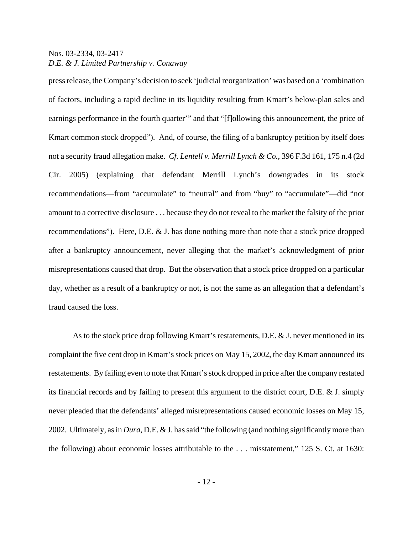press release, the Company's decision to seek 'judicial reorganization' was based on a 'combination of factors, including a rapid decline in its liquidity resulting from Kmart's below-plan sales and earnings performance in the fourth quarter'" and that "[f]ollowing this announcement, the price of Kmart common stock dropped"). And, of course, the filing of a bankruptcy petition by itself does not a security fraud allegation make. *Cf. Lentell v. Merrill Lynch & Co.*, 396 F.3d 161, 175 n.4 (2d Cir. 2005) (explaining that defendant Merrill Lynch's downgrades in its stock recommendations—from "accumulate" to "neutral" and from "buy" to "accumulate"—did "not amount to a corrective disclosure . . . because they do not reveal to the market the falsity of the prior recommendations"). Here, D.E. & J. has done nothing more than note that a stock price dropped after a bankruptcy announcement, never alleging that the market's acknowledgment of prior misrepresentations caused that drop. But the observation that a stock price dropped on a particular day, whether as a result of a bankruptcy or not, is not the same as an allegation that a defendant's fraud caused the loss.

As to the stock price drop following Kmart's restatements, D.E. & J. never mentioned in its complaint the five cent drop in Kmart's stock prices on May 15, 2002, the day Kmart announced its restatements. By failing even to note that Kmart's stock dropped in price after the company restated its financial records and by failing to present this argument to the district court, D.E. & J. simply never pleaded that the defendants' alleged misrepresentations caused economic losses on May 15, 2002. Ultimately, as in *Dura*, D.E. & J. has said "the following (and nothing significantly more than the following) about economic losses attributable to the . . . misstatement," 125 S. Ct. at 1630: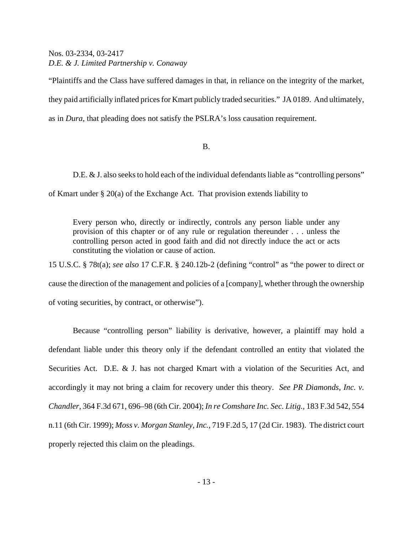"Plaintiffs and the Class have suffered damages in that, in reliance on the integrity of the market, they paid artificially inflated prices for Kmart publicly traded securities." JA 0189. And ultimately, as in *Dura*, that pleading does not satisfy the PSLRA's loss causation requirement.

### B.

D.E. & J. also seeks to hold each of the individual defendants liable as "controlling persons"

of Kmart under § 20(a) of the Exchange Act. That provision extends liability to

Every person who, directly or indirectly, controls any person liable under any provision of this chapter or of any rule or regulation thereunder . . . unless the controlling person acted in good faith and did not directly induce the act or acts constituting the violation or cause of action.

15 U.S.C. § 78t(a); *see also* 17 C.F.R. § 240.12b-2 (defining "control" as "the power to direct or cause the direction of the management and policies of a [company], whether through the ownership of voting securities, by contract, or otherwise").

Because "controlling person" liability is derivative, however, a plaintiff may hold a defendant liable under this theory only if the defendant controlled an entity that violated the Securities Act. D.E. & J. has not charged Kmart with a violation of the Securities Act, and accordingly it may not bring a claim for recovery under this theory. *See PR Diamonds, Inc. v. Chandler*, 364 F.3d 671, 696–98 (6th Cir. 2004); *In re Comshare Inc. Sec. Litig.*, 183 F.3d 542, 554 n.11 (6th Cir. 1999); *Moss v. Morgan Stanley, Inc.*, 719 F.2d 5, 17 (2d Cir. 1983). The district court properly rejected this claim on the pleadings.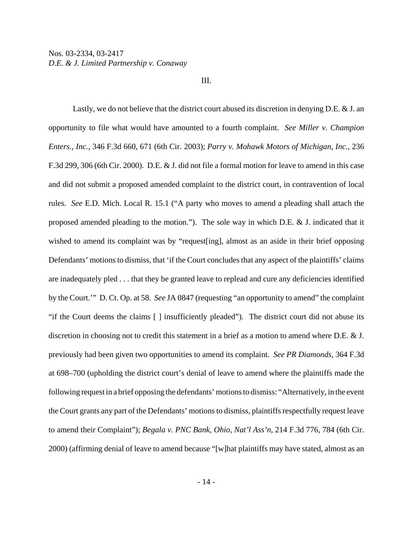#### III.

Lastly, we do not believe that the district court abused its discretion in denying  $D.E. \& J.$  an opportunity to file what would have amounted to a fourth complaint. *See Miller v. Champion Enters., Inc.*, 346 F.3d 660, 671 (6th Cir. 2003); *Parry v. Mohawk Motors of Michigan, Inc.*, 236 F.3d 299, 306 (6th Cir. 2000). D.E. & J. did not file a formal motion for leave to amend in this case and did not submit a proposed amended complaint to the district court, in contravention of local rules. *See* E.D. Mich. Local R. 15.1 ("A party who moves to amend a pleading shall attach the proposed amended pleading to the motion."). The sole way in which D.E. & J. indicated that it wished to amend its complaint was by "request[ing], almost as an aside in their brief opposing Defendants' motions to dismiss, that 'if the Court concludes that any aspect of the plaintiffs' claims are inadequately pled . . . that they be granted leave to replead and cure any deficiencies identified by the Court.'" D. Ct. Op. at 58. *See* JA 0847 (requesting "an opportunity to amend" the complaint "if the Court deems the claims [ ] insufficiently pleaded"). The district court did not abuse its discretion in choosing not to credit this statement in a brief as a motion to amend where D.E. & J. previously had been given two opportunities to amend its complaint. *See PR Diamonds*, 364 F.3d at 698–700 (upholding the district court's denial of leave to amend where the plaintiffs made the following request in a brief opposing the defendants' motions to dismiss: "Alternatively, in the event the Court grants any part of the Defendants' motions to dismiss, plaintiffs respectfully request leave to amend their Complaint"); *Begala v. PNC Bank, Ohio, Nat'l Ass'n*, 214 F.3d 776, 784 (6th Cir. 2000) (affirming denial of leave to amend because "[w]hat plaintiffs may have stated, almost as an